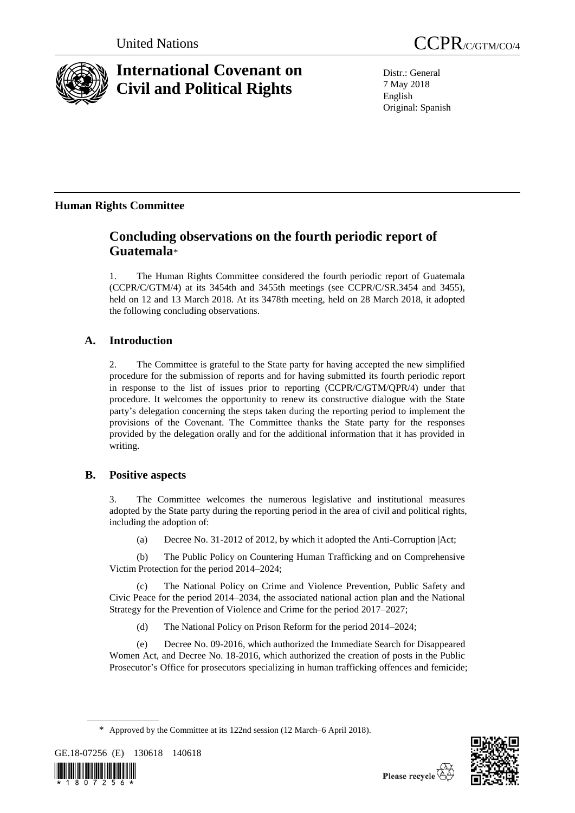

# **International Covenant on Civil and Political Rights**

United Nations CCPR/C/GTM/CO/4

Distr.: General 7 May 2018 English Original: Spanish

# **Human Rights Committee**

# **Concluding observations on the fourth periodic report of Guatemala**\*

1. The Human Rights Committee considered the fourth periodic report of Guatemala (CCPR/C/GTM/4) at its 3454th and 3455th meetings (see CCPR/C/SR.3454 and 3455), held on 12 and 13 March 2018. At its 3478th meeting, held on 28 March 2018, it adopted the following concluding observations.

# **A. Introduction**

2. The Committee is grateful to the State party for having accepted the new simplified procedure for the submission of reports and for having submitted its fourth periodic report in response to the list of issues prior to reporting (CCPR/C/GTM/QPR/4) under that procedure. It welcomes the opportunity to renew its constructive dialogue with the State party's delegation concerning the steps taken during the reporting period to implement the provisions of the Covenant. The Committee thanks the State party for the responses provided by the delegation orally and for the additional information that it has provided in writing.

# **B. Positive aspects**

3. The Committee welcomes the numerous legislative and institutional measures adopted by the State party during the reporting period in the area of civil and political rights, including the adoption of:

(a) Decree No. 31-2012 of 2012, by which it adopted the Anti-Corruption |Act;

(b) The Public Policy on Countering Human Trafficking and on Comprehensive Victim Protection for the period 2014–2024;

(c) The National Policy on Crime and Violence Prevention, Public Safety and Civic Peace for the period 2014–2034, the associated national action plan and the National Strategy for the Prevention of Violence and Crime for the period 2017–2027;

(d) The National Policy on Prison Reform for the period 2014–2024;

(e) Decree No. 09-2016, which authorized the Immediate Search for Disappeared Women Act, and Decree No. 18-2016, which authorized the creation of posts in the Public Prosecutor's Office for prosecutors specializing in human trafficking offences and femicide;

<sup>\*</sup> Approved by the Committee at its 122nd session (12 March–6 April 2018).





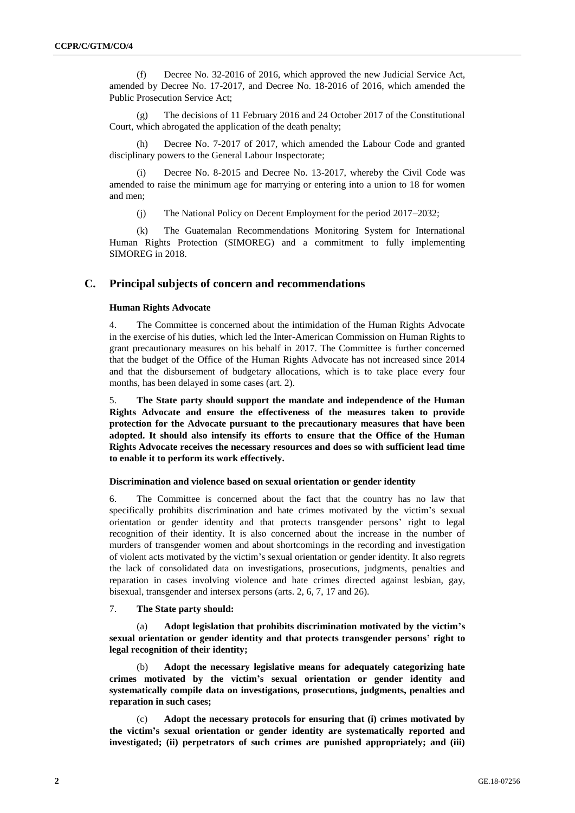(f) Decree No. 32-2016 of 2016, which approved the new Judicial Service Act, amended by Decree No. 17-2017, and Decree No. 18-2016 of 2016, which amended the Public Prosecution Service Act;

(g) The decisions of 11 February 2016 and 24 October 2017 of the Constitutional Court, which abrogated the application of the death penalty;

Decree No. 7-2017 of 2017, which amended the Labour Code and granted disciplinary powers to the General Labour Inspectorate;

Decree No. 8-2015 and Decree No. 13-2017, whereby the Civil Code was amended to raise the minimum age for marrying or entering into a union to 18 for women and men;

(j) The National Policy on Decent Employment for the period 2017–2032;

(k) The Guatemalan Recommendations Monitoring System for International Human Rights Protection (SIMOREG) and a commitment to fully implementing SIMOREG in 2018.

# **C. Principal subjects of concern and recommendations**

#### **Human Rights Advocate**

4. The Committee is concerned about the intimidation of the Human Rights Advocate in the exercise of his duties, which led the Inter-American Commission on Human Rights to grant precautionary measures on his behalf in 2017. The Committee is further concerned that the budget of the Office of the Human Rights Advocate has not increased since 2014 and that the disbursement of budgetary allocations, which is to take place every four months, has been delayed in some cases (art. 2).

5. **The State party should support the mandate and independence of the Human Rights Advocate and ensure the effectiveness of the measures taken to provide protection for the Advocate pursuant to the precautionary measures that have been adopted. It should also intensify its efforts to ensure that the Office of the Human Rights Advocate receives the necessary resources and does so with sufficient lead time to enable it to perform its work effectively.** 

#### **Discrimination and violence based on sexual orientation or gender identity**

6. The Committee is concerned about the fact that the country has no law that specifically prohibits discrimination and hate crimes motivated by the victim's sexual orientation or gender identity and that protects transgender persons' right to legal recognition of their identity. It is also concerned about the increase in the number of murders of transgender women and about shortcomings in the recording and investigation of violent acts motivated by the victim's sexual orientation or gender identity. It also regrets the lack of consolidated data on investigations, prosecutions, judgments, penalties and reparation in cases involving violence and hate crimes directed against lesbian, gay, bisexual, transgender and intersex persons (arts. 2, 6, 7, 17 and 26).

7. **The State party should:**

Adopt legislation that prohibits discrimination motivated by the victim's **sexual orientation or gender identity and that protects transgender persons' right to legal recognition of their identity;**

(b) **Adopt the necessary legislative means for adequately categorizing hate crimes motivated by the victim's sexual orientation or gender identity and systematically compile data on investigations, prosecutions, judgments, penalties and reparation in such cases;**

(c) **Adopt the necessary protocols for ensuring that (i) crimes motivated by the victim's sexual orientation or gender identity are systematically reported and investigated; (ii) perpetrators of such crimes are punished appropriately; and (iii)**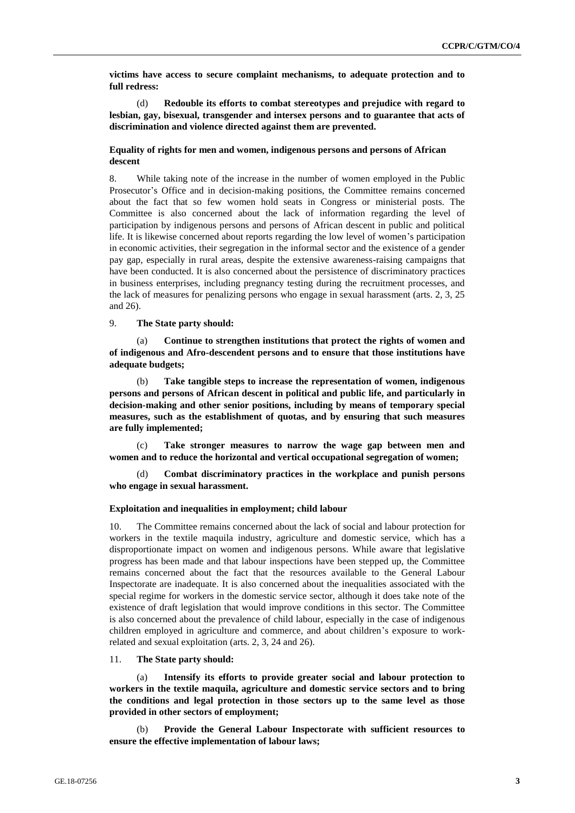**victims have access to secure complaint mechanisms, to adequate protection and to full redress:**

(d) **Redouble its efforts to combat stereotypes and prejudice with regard to lesbian, gay, bisexual, transgender and intersex persons and to guarantee that acts of discrimination and violence directed against them are prevented.**

# **Equality of rights for men and women, indigenous persons and persons of African descent**

8. While taking note of the increase in the number of women employed in the Public Prosecutor's Office and in decision-making positions, the Committee remains concerned about the fact that so few women hold seats in Congress or ministerial posts. The Committee is also concerned about the lack of information regarding the level of participation by indigenous persons and persons of African descent in public and political life. It is likewise concerned about reports regarding the low level of women's participation in economic activities, their segregation in the informal sector and the existence of a gender pay gap, especially in rural areas, despite the extensive awareness-raising campaigns that have been conducted. It is also concerned about the persistence of discriminatory practices in business enterprises, including pregnancy testing during the recruitment processes, and the lack of measures for penalizing persons who engage in sexual harassment (arts. 2, 3, 25 and 26).

# 9. **The State party should:**

Continue to strengthen institutions that protect the rights of women and **of indigenous and Afro-descendent persons and to ensure that those institutions have adequate budgets;**

(b) **Take tangible steps to increase the representation of women, indigenous persons and persons of African descent in political and public life, and particularly in decision-making and other senior positions, including by means of temporary special measures, such as the establishment of quotas, and by ensuring that such measures are fully implemented;**

(c) **Take stronger measures to narrow the wage gap between men and women and to reduce the horizontal and vertical occupational segregation of women;**

Combat discriminatory practices in the workplace and punish persons **who engage in sexual harassment.**

#### **Exploitation and inequalities in employment; child labour**

10. The Committee remains concerned about the lack of social and labour protection for workers in the textile maquila industry, agriculture and domestic service, which has a disproportionate impact on women and indigenous persons. While aware that legislative progress has been made and that labour inspections have been stepped up, the Committee remains concerned about the fact that the resources available to the General Labour Inspectorate are inadequate. It is also concerned about the inequalities associated with the special regime for workers in the domestic service sector, although it does take note of the existence of draft legislation that would improve conditions in this sector. The Committee is also concerned about the prevalence of child labour, especially in the case of indigenous children employed in agriculture and commerce, and about children's exposure to workrelated and sexual exploitation (arts. 2, 3, 24 and 26).

11. **The State party should:**

(a) **Intensify its efforts to provide greater social and labour protection to workers in the textile maquila, agriculture and domestic service sectors and to bring the conditions and legal protection in those sectors up to the same level as those provided in other sectors of employment;**

(b) **Provide the General Labour Inspectorate with sufficient resources to ensure the effective implementation of labour laws;**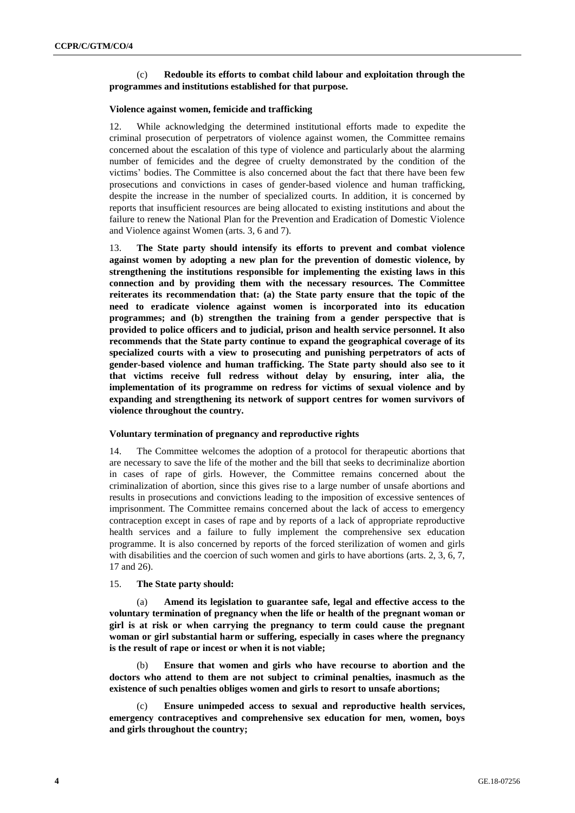# (c) **Redouble its efforts to combat child labour and exploitation through the programmes and institutions established for that purpose.**

#### **Violence against women, femicide and trafficking**

12. While acknowledging the determined institutional efforts made to expedite the criminal prosecution of perpetrators of violence against women, the Committee remains concerned about the escalation of this type of violence and particularly about the alarming number of femicides and the degree of cruelty demonstrated by the condition of the victims' bodies. The Committee is also concerned about the fact that there have been few prosecutions and convictions in cases of gender-based violence and human trafficking, despite the increase in the number of specialized courts. In addition, it is concerned by reports that insufficient resources are being allocated to existing institutions and about the failure to renew the National Plan for the Prevention and Eradication of Domestic Violence and Violence against Women (arts. 3, 6 and 7).

13. **The State party should intensify its efforts to prevent and combat violence against women by adopting a new plan for the prevention of domestic violence, by strengthening the institutions responsible for implementing the existing laws in this connection and by providing them with the necessary resources. The Committee reiterates its recommendation that: (a) the State party ensure that the topic of the need to eradicate violence against women is incorporated into its education programmes; and (b) strengthen the training from a gender perspective that is provided to police officers and to judicial, prison and health service personnel. It also recommends that the State party continue to expand the geographical coverage of its specialized courts with a view to prosecuting and punishing perpetrators of acts of gender-based violence and human trafficking. The State party should also see to it that victims receive full redress without delay by ensuring, inter alia, the implementation of its programme on redress for victims of sexual violence and by expanding and strengthening its network of support centres for women survivors of violence throughout the country.** 

#### **Voluntary termination of pregnancy and reproductive rights**

14. The Committee welcomes the adoption of a protocol for therapeutic abortions that are necessary to save the life of the mother and the bill that seeks to decriminalize abortion in cases of rape of girls. However, the Committee remains concerned about the criminalization of abortion, since this gives rise to a large number of unsafe abortions and results in prosecutions and convictions leading to the imposition of excessive sentences of imprisonment. The Committee remains concerned about the lack of access to emergency contraception except in cases of rape and by reports of a lack of appropriate reproductive health services and a failure to fully implement the comprehensive sex education programme. It is also concerned by reports of the forced sterilization of women and girls with disabilities and the coercion of such women and girls to have abortions (arts. 2, 3, 6, 7, 17 and 26).

#### 15. **The State party should:**

(a) **Amend its legislation to guarantee safe, legal and effective access to the voluntary termination of pregnancy when the life or health of the pregnant woman or girl is at risk or when carrying the pregnancy to term could cause the pregnant woman or girl substantial harm or suffering, especially in cases where the pregnancy is the result of rape or incest or when it is not viable;**

(b) **Ensure that women and girls who have recourse to abortion and the doctors who attend to them are not subject to criminal penalties, inasmuch as the existence of such penalties obliges women and girls to resort to unsafe abortions;**

(c) **Ensure unimpeded access to sexual and reproductive health services, emergency contraceptives and comprehensive sex education for men, women, boys and girls throughout the country;**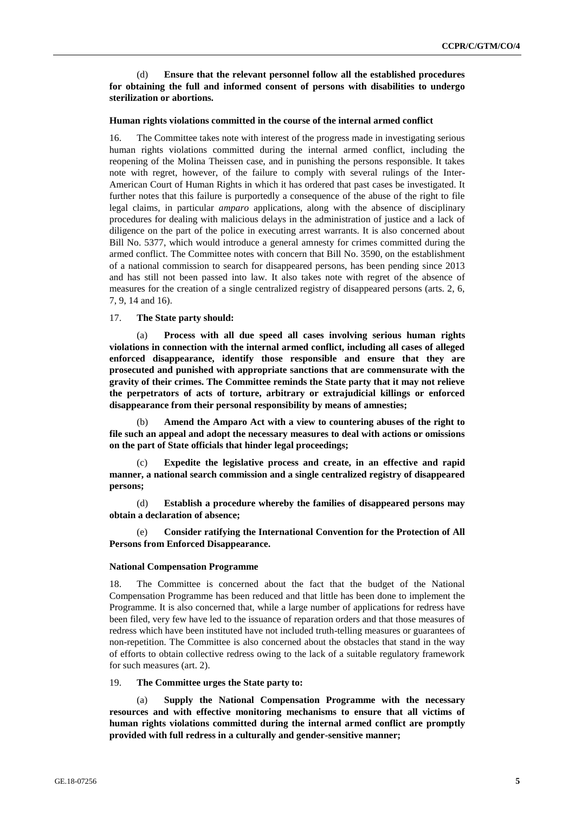(d) **Ensure that the relevant personnel follow all the established procedures for obtaining the full and informed consent of persons with disabilities to undergo sterilization or abortions.** 

#### **Human rights violations committed in the course of the internal armed conflict**

16. The Committee takes note with interest of the progress made in investigating serious human rights violations committed during the internal armed conflict, including the reopening of the Molina Theissen case, and in punishing the persons responsible. It takes note with regret, however, of the failure to comply with several rulings of the Inter-American Court of Human Rights in which it has ordered that past cases be investigated. It further notes that this failure is purportedly a consequence of the abuse of the right to file legal claims, in particular *amparo* applications, along with the absence of disciplinary procedures for dealing with malicious delays in the administration of justice and a lack of diligence on the part of the police in executing arrest warrants. It is also concerned about Bill No. 5377, which would introduce a general amnesty for crimes committed during the armed conflict. The Committee notes with concern that Bill No. 3590, on the establishment of a national commission to search for disappeared persons, has been pending since 2013 and has still not been passed into law. It also takes note with regret of the absence of measures for the creation of a single centralized registry of disappeared persons (arts. 2, 6, 7, 9, 14 and 16).

#### 17. **The State party should:**

(a) **Process with all due speed all cases involving serious human rights violations in connection with the internal armed conflict, including all cases of alleged enforced disappearance, identify those responsible and ensure that they are prosecuted and punished with appropriate sanctions that are commensurate with the gravity of their crimes. The Committee reminds the State party that it may not relieve the perpetrators of acts of torture, arbitrary or extrajudicial killings or enforced disappearance from their personal responsibility by means of amnesties;**

(b) **Amend the Amparo Act with a view to countering abuses of the right to file such an appeal and adopt the necessary measures to deal with actions or omissions on the part of State officials that hinder legal proceedings;**

(c) **Expedite the legislative process and create, in an effective and rapid manner, a national search commission and a single centralized registry of disappeared persons;**

(d) **Establish a procedure whereby the families of disappeared persons may obtain a declaration of absence;**

(e) **Consider ratifying the International Convention for the Protection of All Persons from Enforced Disappearance.**

#### **National Compensation Programme**

18. The Committee is concerned about the fact that the budget of the National Compensation Programme has been reduced and that little has been done to implement the Programme. It is also concerned that, while a large number of applications for redress have been filed, very few have led to the issuance of reparation orders and that those measures of redress which have been instituted have not included truth-telling measures or guarantees of non-repetition. The Committee is also concerned about the obstacles that stand in the way of efforts to obtain collective redress owing to the lack of a suitable regulatory framework for such measures (art. 2).

### 19. **The Committee urges the State party to:**

(a) **Supply the National Compensation Programme with the necessary resources and with effective monitoring mechanisms to ensure that all victims of human rights violations committed during the internal armed conflict are promptly provided with full redress in a culturally and gender-sensitive manner;**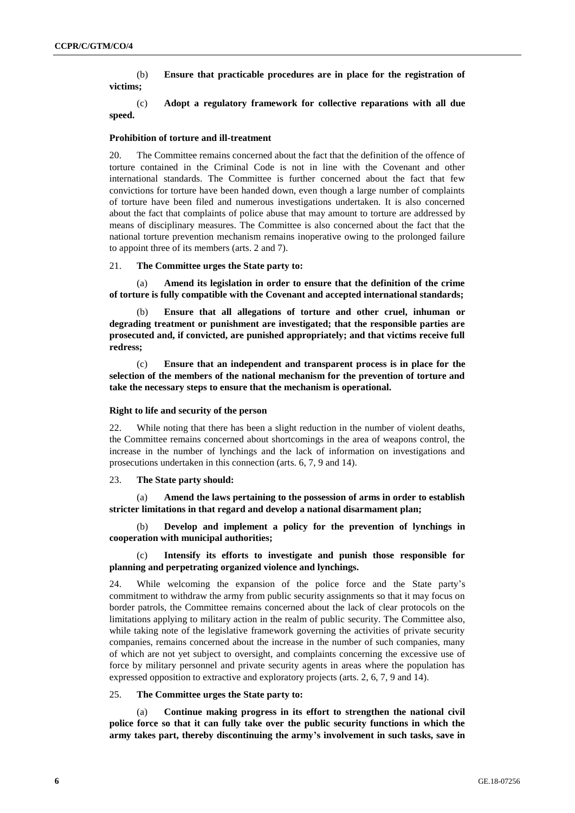(b) **Ensure that practicable procedures are in place for the registration of victims;**

(c) **Adopt a regulatory framework for collective reparations with all due speed.** 

#### **Prohibition of torture and ill-treatment**

20. The Committee remains concerned about the fact that the definition of the offence of torture contained in the Criminal Code is not in line with the Covenant and other international standards. The Committee is further concerned about the fact that few convictions for torture have been handed down, even though a large number of complaints of torture have been filed and numerous investigations undertaken. It is also concerned about the fact that complaints of police abuse that may amount to torture are addressed by means of disciplinary measures. The Committee is also concerned about the fact that the national torture prevention mechanism remains inoperative owing to the prolonged failure to appoint three of its members (arts. 2 and 7).

#### 21. **The Committee urges the State party to:**

(a) **Amend its legislation in order to ensure that the definition of the crime of torture is fully compatible with the Covenant and accepted international standards;**

(b) **Ensure that all allegations of torture and other cruel, inhuman or degrading treatment or punishment are investigated; that the responsible parties are prosecuted and, if convicted, are punished appropriately; and that victims receive full redress;**

(c) **Ensure that an independent and transparent process is in place for the selection of the members of the national mechanism for the prevention of torture and take the necessary steps to ensure that the mechanism is operational.**

#### **Right to life and security of the person**

22. While noting that there has been a slight reduction in the number of violent deaths, the Committee remains concerned about shortcomings in the area of weapons control, the increase in the number of lynchings and the lack of information on investigations and prosecutions undertaken in this connection (arts. 6, 7, 9 and 14).

### 23. **The State party should:**

(a) **Amend the laws pertaining to the possession of arms in order to establish stricter limitations in that regard and develop a national disarmament plan;**

(b) **Develop and implement a policy for the prevention of lynchings in cooperation with municipal authorities;**

# (c) **Intensify its efforts to investigate and punish those responsible for planning and perpetrating organized violence and lynchings.**

24. While welcoming the expansion of the police force and the State party's commitment to withdraw the army from public security assignments so that it may focus on border patrols, the Committee remains concerned about the lack of clear protocols on the limitations applying to military action in the realm of public security. The Committee also, while taking note of the legislative framework governing the activities of private security companies, remains concerned about the increase in the number of such companies, many of which are not yet subject to oversight, and complaints concerning the excessive use of force by military personnel and private security agents in areas where the population has expressed opposition to extractive and exploratory projects (arts. 2, 6, 7, 9 and 14).

#### 25. **The Committee urges the State party to:**

Continue making progress in its effort to strengthen the national civil **police force so that it can fully take over the public security functions in which the army takes part, thereby discontinuing the army's involvement in such tasks, save in**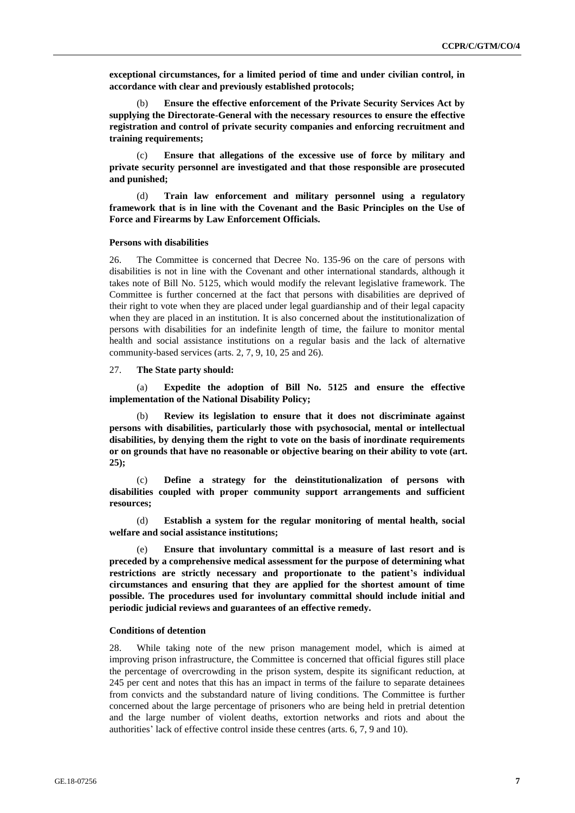**exceptional circumstances, for a limited period of time and under civilian control, in accordance with clear and previously established protocols;**

(b) **Ensure the effective enforcement of the Private Security Services Act by supplying the Directorate-General with the necessary resources to ensure the effective registration and control of private security companies and enforcing recruitment and training requirements;**

(c) **Ensure that allegations of the excessive use of force by military and private security personnel are investigated and that those responsible are prosecuted and punished;**

(d) **Train law enforcement and military personnel using a regulatory framework that is in line with the Covenant and the Basic Principles on the Use of Force and Firearms by Law Enforcement Officials.**

#### **Persons with disabilities**

26. The Committee is concerned that Decree No. 135-96 on the care of persons with disabilities is not in line with the Covenant and other international standards, although it takes note of Bill No. 5125, which would modify the relevant legislative framework. The Committee is further concerned at the fact that persons with disabilities are deprived of their right to vote when they are placed under legal guardianship and of their legal capacity when they are placed in an institution. It is also concerned about the institutionalization of persons with disabilities for an indefinite length of time, the failure to monitor mental health and social assistance institutions on a regular basis and the lack of alternative community-based services (arts. 2, 7, 9, 10, 25 and 26).

#### 27. **The State party should:**

(a) **Expedite the adoption of Bill No. 5125 and ensure the effective implementation of the National Disability Policy;**

(b) **Review its legislation to ensure that it does not discriminate against persons with disabilities, particularly those with psychosocial, mental or intellectual disabilities, by denying them the right to vote on the basis of inordinate requirements or on grounds that have no reasonable or objective bearing on their ability to vote (art. 25);**

(c) **Define a strategy for the deinstitutionalization of persons with disabilities coupled with proper community support arrangements and sufficient resources;**

(d) **Establish a system for the regular monitoring of mental health, social welfare and social assistance institutions;**

Ensure that involuntary committal is a measure of last resort and is **preceded by a comprehensive medical assessment for the purpose of determining what restrictions are strictly necessary and proportionate to the patient's individual circumstances and ensuring that they are applied for the shortest amount of time possible. The procedures used for involuntary committal should include initial and periodic judicial reviews and guarantees of an effective remedy.** 

#### **Conditions of detention**

28. While taking note of the new prison management model, which is aimed at improving prison infrastructure, the Committee is concerned that official figures still place the percentage of overcrowding in the prison system, despite its significant reduction, at 245 per cent and notes that this has an impact in terms of the failure to separate detainees from convicts and the substandard nature of living conditions. The Committee is further concerned about the large percentage of prisoners who are being held in pretrial detention and the large number of violent deaths, extortion networks and riots and about the authorities' lack of effective control inside these centres (arts. 6, 7, 9 and 10).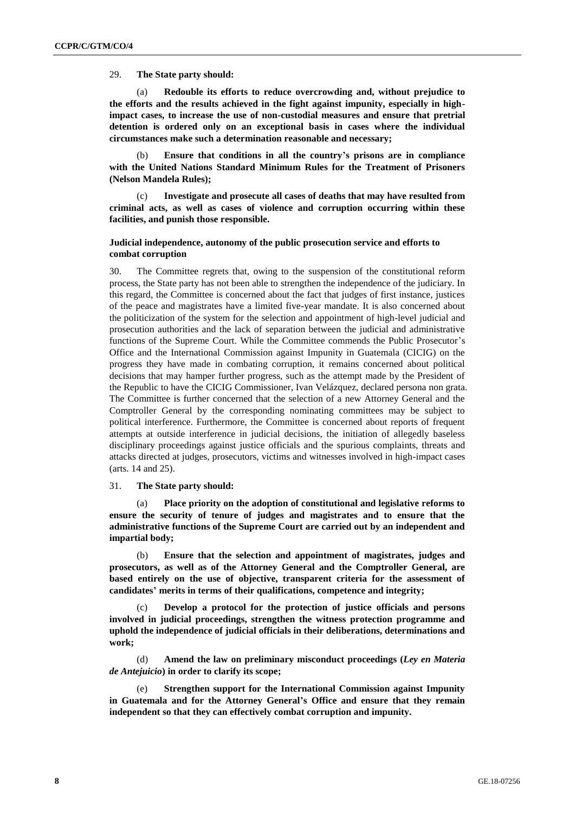### 29. **The State party should:**

(a) **Redouble its efforts to reduce overcrowding and, without prejudice to the efforts and the results achieved in the fight against impunity, especially in highimpact cases, to increase the use of non-custodial measures and ensure that pretrial detention is ordered only on an exceptional basis in cases where the individual circumstances make such a determination reasonable and necessary;** 

(b) **Ensure that conditions in all the country's prisons are in compliance with the United Nations Standard Minimum Rules for the Treatment of Prisoners (Nelson Mandela Rules);**

(c) **Investigate and prosecute all cases of deaths that may have resulted from criminal acts, as well as cases of violence and corruption occurring within these facilities, and punish those responsible.** 

### **Judicial independence, autonomy of the public prosecution service and efforts to combat corruption**

30. The Committee regrets that, owing to the suspension of the constitutional reform process, the State party has not been able to strengthen the independence of the judiciary. In this regard, the Committee is concerned about the fact that judges of first instance, justices of the peace and magistrates have a limited five-year mandate. It is also concerned about the politicization of the system for the selection and appointment of high-level judicial and prosecution authorities and the lack of separation between the judicial and administrative functions of the Supreme Court. While the Committee commends the Public Prosecutor's Office and the International Commission against Impunity in Guatemala (CICIG) on the progress they have made in combating corruption, it remains concerned about political decisions that may hamper further progress, such as the attempt made by the President of the Republic to have the CICIG Commissioner, Ivan Velázquez, declared persona non grata. The Committee is further concerned that the selection of a new Attorney General and the Comptroller General by the corresponding nominating committees may be subject to political interference. Furthermore, the Committee is concerned about reports of frequent attempts at outside interference in judicial decisions, the initiation of allegedly baseless disciplinary proceedings against justice officials and the spurious complaints, threats and attacks directed at judges, prosecutors, victims and witnesses involved in high-impact cases (arts. 14 and 25).

#### 31. **The State party should:**

(a) **Place priority on the adoption of constitutional and legislative reforms to ensure the security of tenure of judges and magistrates and to ensure that the administrative functions of the Supreme Court are carried out by an independent and impartial body;**

(b) **Ensure that the selection and appointment of magistrates, judges and prosecutors, as well as of the Attorney General and the Comptroller General, are based entirely on the use of objective, transparent criteria for the assessment of candidates' merits in terms of their qualifications, competence and integrity;**

(c) **Develop a protocol for the protection of justice officials and persons involved in judicial proceedings, strengthen the witness protection programme and uphold the independence of judicial officials in their deliberations, determinations and work;**

(d) **Amend the law on preliminary misconduct proceedings (***Ley en Materia de Antejuicio***) in order to clarify its scope;**

(e) **Strengthen support for the International Commission against Impunity in Guatemala and for the Attorney General's Office and ensure that they remain independent so that they can effectively combat corruption and impunity.**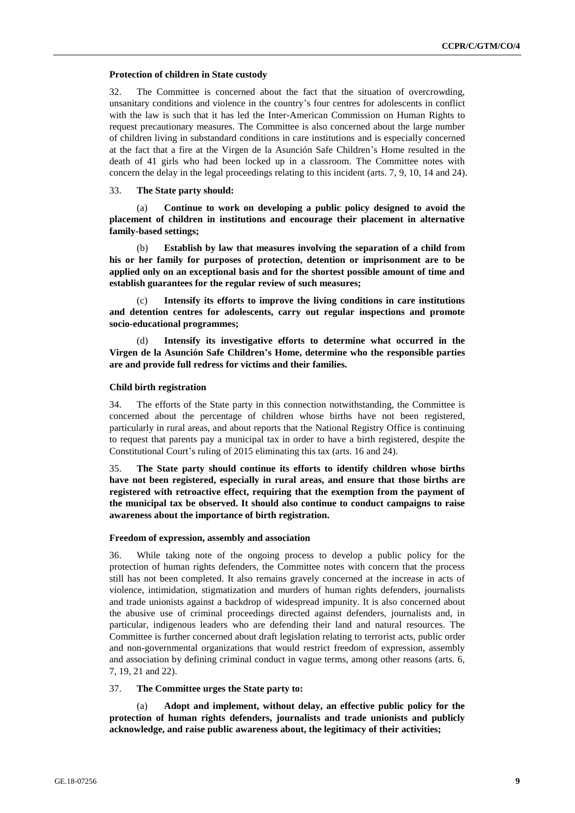#### **Protection of children in State custody**

32. The Committee is concerned about the fact that the situation of overcrowding, unsanitary conditions and violence in the country's four centres for adolescents in conflict with the law is such that it has led the Inter-American Commission on Human Rights to request precautionary measures. The Committee is also concerned about the large number of children living in substandard conditions in care institutions and is especially concerned at the fact that a fire at the Virgen de la Asunción Safe Children's Home resulted in the death of 41 girls who had been locked up in a classroom. The Committee notes with concern the delay in the legal proceedings relating to this incident (arts. 7, 9, 10, 14 and 24).

#### 33. **The State party should:**

(a) **Continue to work on developing a public policy designed to avoid the placement of children in institutions and encourage their placement in alternative family-based settings;**

(b) **Establish by law that measures involving the separation of a child from his or her family for purposes of protection, detention or imprisonment are to be applied only on an exceptional basis and for the shortest possible amount of time and establish guarantees for the regular review of such measures;**

Intensify its efforts to improve the living conditions in care institutions **and detention centres for adolescents, carry out regular inspections and promote socio-educational programmes;**

Intensify its investigative efforts to determine what occurred in the **Virgen de la Asunción Safe Children's Home, determine who the responsible parties are and provide full redress for victims and their families.**

#### **Child birth registration**

34. The efforts of the State party in this connection notwithstanding, the Committee is concerned about the percentage of children whose births have not been registered, particularly in rural areas, and about reports that the National Registry Office is continuing to request that parents pay a municipal tax in order to have a birth registered, despite the Constitutional Court's ruling of 2015 eliminating this tax (arts. 16 and 24).

35. **The State party should continue its efforts to identify children whose births have not been registered, especially in rural areas, and ensure that those births are registered with retroactive effect, requiring that the exemption from the payment of the municipal tax be observed. It should also continue to conduct campaigns to raise awareness about the importance of birth registration.**

#### **Freedom of expression, assembly and association**

36. While taking note of the ongoing process to develop a public policy for the protection of human rights defenders, the Committee notes with concern that the process still has not been completed. It also remains gravely concerned at the increase in acts of violence, intimidation, stigmatization and murders of human rights defenders, journalists and trade unionists against a backdrop of widespread impunity. It is also concerned about the abusive use of criminal proceedings directed against defenders, journalists and, in particular, indigenous leaders who are defending their land and natural resources. The Committee is further concerned about draft legislation relating to terrorist acts, public order and non-governmental organizations that would restrict freedom of expression, assembly and association by defining criminal conduct in vague terms, among other reasons (arts. 6, 7, 19, 21 and 22).

#### 37. **The Committee urges the State party to:**

(a) **Adopt and implement, without delay, an effective public policy for the protection of human rights defenders, journalists and trade unionists and publicly acknowledge, and raise public awareness about, the legitimacy of their activities;**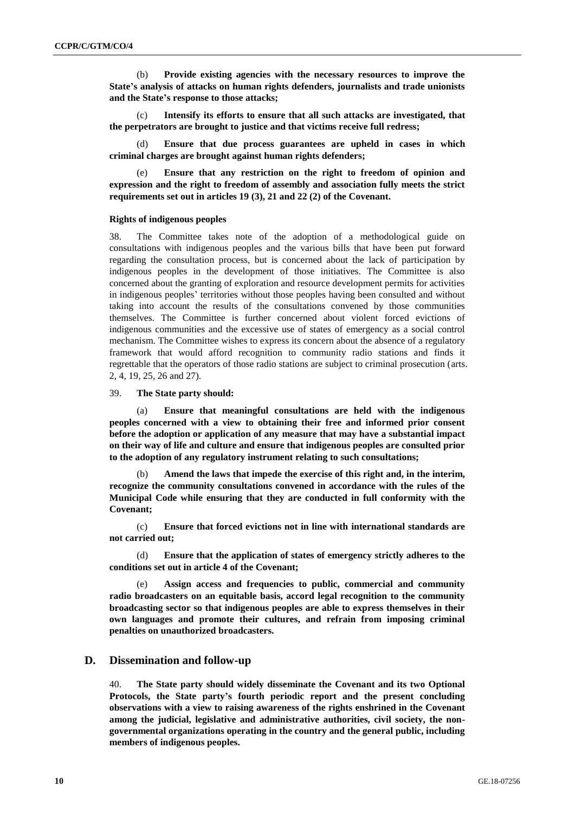(b) **Provide existing agencies with the necessary resources to improve the State's analysis of attacks on human rights defenders, journalists and trade unionists and the State's response to those attacks;**

(c) **Intensify its efforts to ensure that all such attacks are investigated, that the perpetrators are brought to justice and that victims receive full redress;**

(d) **Ensure that due process guarantees are upheld in cases in which criminal charges are brought against human rights defenders;**

(e) **Ensure that any restriction on the right to freedom of opinion and expression and the right to freedom of assembly and association fully meets the strict requirements set out in articles 19 (3), 21 and 22 (2) of the Covenant.**

#### **Rights of indigenous peoples**

38. The Committee takes note of the adoption of a methodological guide on consultations with indigenous peoples and the various bills that have been put forward regarding the consultation process, but is concerned about the lack of participation by indigenous peoples in the development of those initiatives. The Committee is also concerned about the granting of exploration and resource development permits for activities in indigenous peoples' territories without those peoples having been consulted and without taking into account the results of the consultations convened by those communities themselves. The Committee is further concerned about violent forced evictions of indigenous communities and the excessive use of states of emergency as a social control mechanism. The Committee wishes to express its concern about the absence of a regulatory framework that would afford recognition to community radio stations and finds it regrettable that the operators of those radio stations are subject to criminal prosecution (arts. 2, 4, 19, 25, 26 and 27).

#### 39. **The State party should:**

(a) **Ensure that meaningful consultations are held with the indigenous peoples concerned with a view to obtaining their free and informed prior consent before the adoption or application of any measure that may have a substantial impact on their way of life and culture and ensure that indigenous peoples are consulted prior to the adoption of any regulatory instrument relating to such consultations;**

Amend the laws that impede the exercise of this right and, in the interim, **recognize the community consultations convened in accordance with the rules of the Municipal Code while ensuring that they are conducted in full conformity with the Covenant;**

(c) **Ensure that forced evictions not in line with international standards are not carried out;**

(d) **Ensure that the application of states of emergency strictly adheres to the conditions set out in article 4 of the Covenant;**

Assign access and frequencies to public, commercial and community **radio broadcasters on an equitable basis, accord legal recognition to the community broadcasting sector so that indigenous peoples are able to express themselves in their own languages and promote their cultures, and refrain from imposing criminal penalties on unauthorized broadcasters.** 

# **D. Dissemination and follow-up**

40. **The State party should widely disseminate the Covenant and its two Optional Protocols, the State party's fourth periodic report and the present concluding observations with a view to raising awareness of the rights enshrined in the Covenant among the judicial, legislative and administrative authorities, civil society, the nongovernmental organizations operating in the country and the general public, including members of indigenous peoples.**